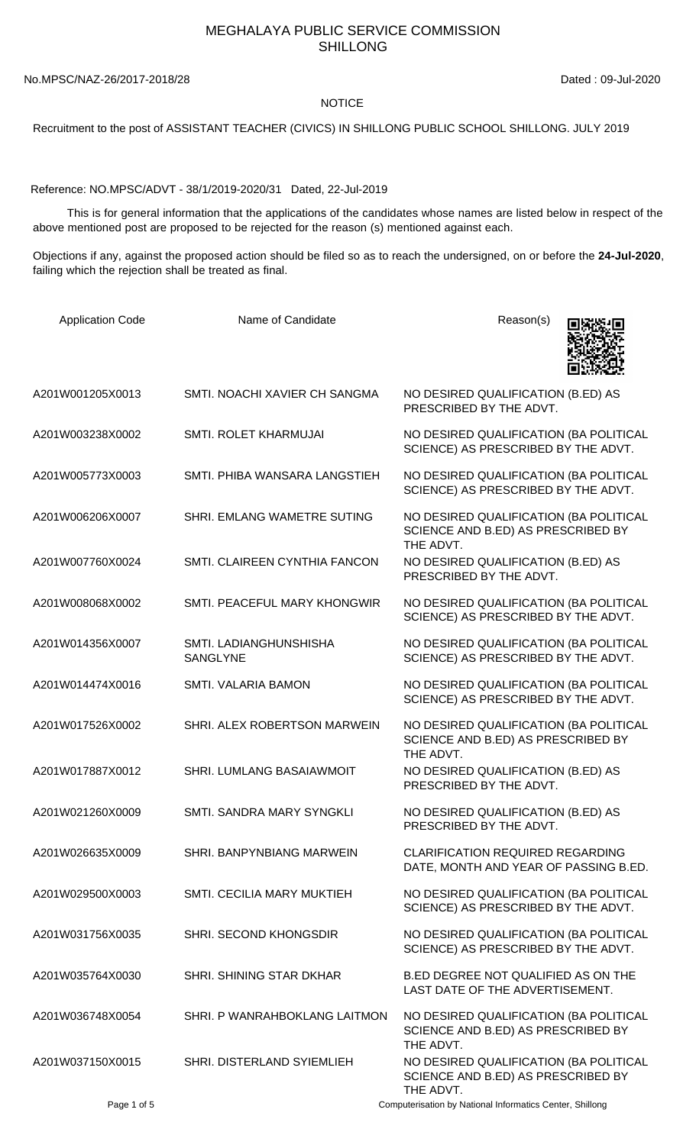## MEGHALAYA PUBLIC SERVICE COMMISSION SHILLONG

No.MPSC/NAZ-26/2017-2018/28 Dated : 09-Jul-2020

## NOTICE

Recruitment to the post of ASSISTANT TEACHER (CIVICS) IN SHILLONG PUBLIC SCHOOL SHILLONG. JULY 2019

Reference: NO.MPSC/ADVT - 38/1/2019-2020/31 Dated, 22-Jul-2019

 This is for general information that the applications of the candidates whose names are listed below in respect of the above mentioned post are proposed to be rejected for the reason (s) mentioned against each.

Objections if any, against the proposed action should be filed so as to reach the undersigned, on or before the **24-Jul-2020**, failing which the rejection shall be treated as final.

| <b>Application Code</b> | Name of Candidate                  | Reason(s)                                                                                 |
|-------------------------|------------------------------------|-------------------------------------------------------------------------------------------|
| A201W001205X0013        | SMTI. NOACHI XAVIER CH SANGMA      | NO DESIRED QUALIFICATION (B.ED) AS<br>PRESCRIBED BY THE ADVT.                             |
| A201W003238X0002        | SMTI. ROLET KHARMUJAI              | NO DESIRED QUALIFICATION (BA POLITICAL<br>SCIENCE) AS PRESCRIBED BY THE ADVT.             |
| A201W005773X0003        | SMTI. PHIBA WANSARA LANGSTIEH      | NO DESIRED QUALIFICATION (BA POLITICAL<br>SCIENCE) AS PRESCRIBED BY THE ADVT.             |
| A201W006206X0007        | SHRI. EMLANG WAMETRE SUTING        | NO DESIRED QUALIFICATION (BA POLITICAL<br>SCIENCE AND B.ED) AS PRESCRIBED BY<br>THE ADVT. |
| A201W007760X0024        | SMTI. CLAIREEN CYNTHIA FANCON      | NO DESIRED QUALIFICATION (B.ED) AS<br>PRESCRIBED BY THE ADVT.                             |
| A201W008068X0002        | SMTI. PEACEFUL MARY KHONGWIR       | NO DESIRED QUALIFICATION (BA POLITICAL<br>SCIENCE) AS PRESCRIBED BY THE ADVT.             |
| A201W014356X0007        | SMTI. LADIANGHUNSHISHA<br>SANGLYNE | NO DESIRED QUALIFICATION (BA POLITICAL<br>SCIENCE) AS PRESCRIBED BY THE ADVT.             |
| A201W014474X0016        | SMTI. VALARIA BAMON                | NO DESIRED QUALIFICATION (BA POLITICAL<br>SCIENCE) AS PRESCRIBED BY THE ADVT.             |
| A201W017526X0002        | SHRI. ALEX ROBERTSON MARWEIN       | NO DESIRED QUALIFICATION (BA POLITICAL<br>SCIENCE AND B.ED) AS PRESCRIBED BY<br>THE ADVT. |
| A201W017887X0012        | SHRI. LUMLANG BASAIAWMOIT          | NO DESIRED QUALIFICATION (B.ED) AS<br>PRESCRIBED BY THE ADVT.                             |
| A201W021260X0009        | SMTI, SANDRA MARY SYNGKLI          | NO DESIRED QUALIFICATION (B.ED) AS<br>PRESCRIBED BY THE ADVT.                             |
| A201W026635X0009        | <b>SHRI. BANPYNBIANG MARWEIN</b>   | <b>CLARIFICATION REQUIRED REGARDING</b><br>DATE, MONTH AND YEAR OF PASSING B.ED.          |
| A201W029500X0003        | SMTI. CECILIA MARY MUKTIEH         | NO DESIRED QUALIFICATION (BA POLITICAL<br>SCIENCE) AS PRESCRIBED BY THE ADVT.             |
| A201W031756X0035        | <b>SHRI. SECOND KHONGSDIR</b>      | NO DESIRED QUALIFICATION (BA POLITICAL<br>SCIENCE) AS PRESCRIBED BY THE ADVT.             |
| A201W035764X0030        | SHRI. SHINING STAR DKHAR           | B.ED DEGREE NOT QUALIFIED AS ON THE<br>LAST DATE OF THE ADVERTISEMENT.                    |
| A201W036748X0054        | SHRI. P WANRAHBOKLANG LAITMON      | NO DESIRED QUALIFICATION (BA POLITICAL<br>SCIENCE AND B.ED) AS PRESCRIBED BY<br>THE ADVT. |
| A201W037150X0015        | SHRI. DISTERLAND SYIEMLIEH         | NO DESIRED QUALIFICATION (BA POLITICAL<br>SCIENCE AND B.ED) AS PRESCRIBED BY<br>THE ADVT. |

Page 1 of 5 Computerisation by National Informatics Center, Shillong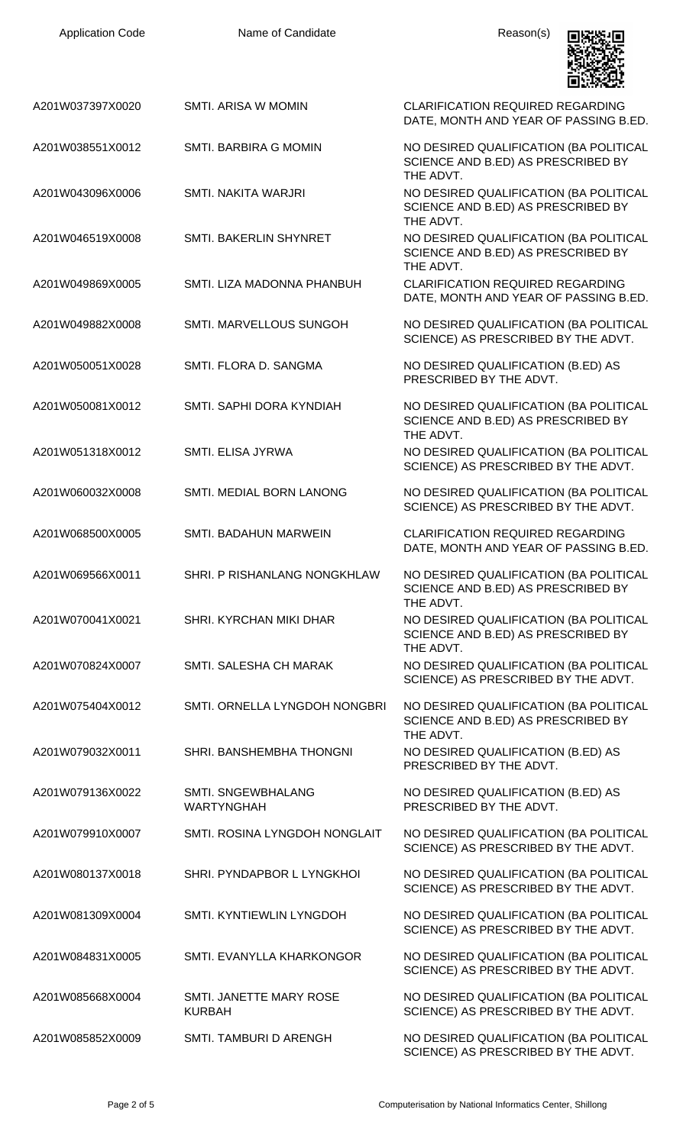| <b>Application Code</b> | Name of Candidate                        | Reason(s)                                                                                 |
|-------------------------|------------------------------------------|-------------------------------------------------------------------------------------------|
| A201W037397X0020        | SMTI. ARISA W MOMIN                      | <b>CLARIFICATION REQUIRED REGARDING</b><br>DATE, MONTH AND YEAR OF PASSING B.ED.          |
| A201W038551X0012        | <b>SMTI. BARBIRA G MOMIN</b>             | NO DESIRED QUALIFICATION (BA POLITICAL<br>SCIENCE AND B.ED) AS PRESCRIBED BY<br>THE ADVT. |
| A201W043096X0006        | <b>SMTI. NAKITA WARJRI</b>               | NO DESIRED QUALIFICATION (BA POLITICAL<br>SCIENCE AND B.ED) AS PRESCRIBED BY<br>THE ADVT. |
| A201W046519X0008        | SMTI. BAKERLIN SHYNRET                   | NO DESIRED QUALIFICATION (BA POLITICAL<br>SCIENCE AND B.ED) AS PRESCRIBED BY<br>THE ADVT. |
| A201W049869X0005        | SMTI. LIZA MADONNA PHANBUH               | <b>CLARIFICATION REQUIRED REGARDING</b><br>DATE, MONTH AND YEAR OF PASSING B.ED.          |
| A201W049882X0008        | SMTI. MARVELLOUS SUNGOH                  | NO DESIRED QUALIFICATION (BA POLITICAL<br>SCIENCE) AS PRESCRIBED BY THE ADVT.             |
| A201W050051X0028        | SMTI. FLORA D. SANGMA                    | NO DESIRED QUALIFICATION (B.ED) AS<br>PRESCRIBED BY THE ADVT.                             |
| A201W050081X0012        | SMTI. SAPHI DORA KYNDIAH                 | NO DESIRED QUALIFICATION (BA POLITICAL<br>SCIENCE AND B.ED) AS PRESCRIBED BY<br>THE ADVT. |
| A201W051318X0012        | SMTI. ELISA JYRWA                        | NO DESIRED QUALIFICATION (BA POLITICAL<br>SCIENCE) AS PRESCRIBED BY THE ADVT.             |
| A201W060032X0008        | SMTI. MEDIAL BORN LANONG                 | NO DESIRED QUALIFICATION (BA POLITICAL<br>SCIENCE) AS PRESCRIBED BY THE ADVT.             |
| A201W068500X0005        | SMTI. BADAHUN MARWEIN                    | CLARIFICATION REQUIRED REGARDING<br>DATE, MONTH AND YEAR OF PASSING B.ED.                 |
| A201W069566X0011        | SHRI. P RISHANLANG NONGKHLAW             | NO DESIRED QUALIFICATION (BA POLITICAL<br>SCIENCE AND B.ED) AS PRESCRIBED BY<br>THE ADVT. |
| A201W070041X0021        | SHRI, KYRCHAN MIKI DHAR                  | NO DESIRED QUALIFICATION (BA POLITICAL<br>SCIENCE AND B.ED) AS PRESCRIBED BY<br>THE ADVT. |
| A201W070824X0007        | SMTI, SALESHA CH MARAK                   | NO DESIRED QUALIFICATION (BA POLITICAL<br>SCIENCE) AS PRESCRIBED BY THE ADVT.             |
| A201W075404X0012        | SMTI. ORNELLA LYNGDOH NONGBRI            | NO DESIRED QUALIFICATION (BA POLITICAL<br>SCIENCE AND B.ED) AS PRESCRIBED BY<br>THE ADVT. |
| A201W079032X0011        | SHRI. BANSHEMBHA THONGNI                 | NO DESIRED QUALIFICATION (B.ED) AS<br>PRESCRIBED BY THE ADVT.                             |
| A201W079136X0022        | SMTI. SNGEWBHALANG<br><b>WARTYNGHAH</b>  | NO DESIRED QUALIFICATION (B.ED) AS<br>PRESCRIBED BY THE ADVT.                             |
| A201W079910X0007        | SMTI. ROSINA LYNGDOH NONGLAIT            | NO DESIRED QUALIFICATION (BA POLITICAL<br>SCIENCE) AS PRESCRIBED BY THE ADVT.             |
| A201W080137X0018        | SHRI. PYNDAPBOR L LYNGKHOI               | NO DESIRED QUALIFICATION (BA POLITICAL<br>SCIENCE) AS PRESCRIBED BY THE ADVT.             |
| A201W081309X0004        | SMTI. KYNTIEWLIN LYNGDOH                 | NO DESIRED QUALIFICATION (BA POLITICAL<br>SCIENCE) AS PRESCRIBED BY THE ADVT.             |
| A201W084831X0005        | SMTI. EVANYLLA KHARKONGOR                | NO DESIRED QUALIFICATION (BA POLITICAL<br>SCIENCE) AS PRESCRIBED BY THE ADVT.             |
| A201W085668X0004        | SMTI. JANETTE MARY ROSE<br><b>KURBAH</b> | NO DESIRED QUALIFICATION (BA POLITICAL<br>SCIENCE) AS PRESCRIBED BY THE ADVT.             |
| A201W085852X0009        | SMTI. TAMBURI D ARENGH                   | NO DESIRED QUALIFICATION (BA POLITICAL<br>SCIENCE) AS PRESCRIBED BY THE ADVT.             |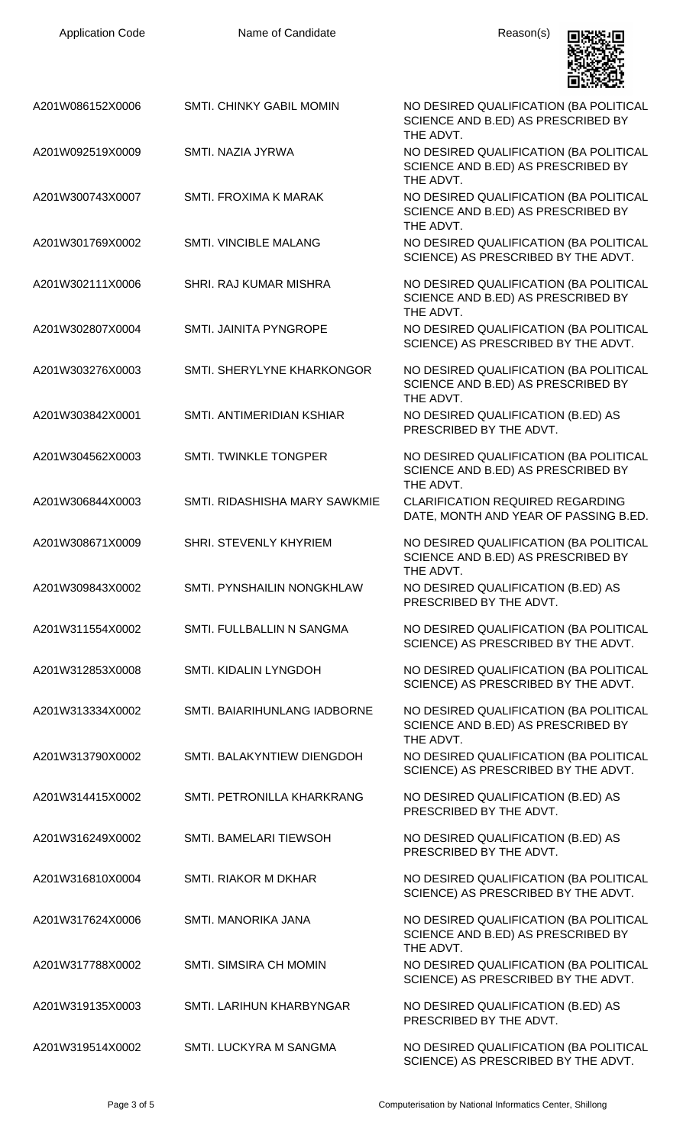| <b>Application Code</b> | Name of Candidate             | Reason(s)                                                                                 |
|-------------------------|-------------------------------|-------------------------------------------------------------------------------------------|
| A201W086152X0006        | SMTI. CHINKY GABIL MOMIN      | NO DESIRED QUALIFICATION (BA POLITICAL<br>SCIENCE AND B.ED) AS PRESCRIBED BY<br>THE ADVT. |
| A201W092519X0009        | SMTI. NAZIA JYRWA             | NO DESIRED QUALIFICATION (BA POLITICAL<br>SCIENCE AND B.ED) AS PRESCRIBED BY<br>THE ADVT. |
| A201W300743X0007        | SMTI. FROXIMA K MARAK         | NO DESIRED QUALIFICATION (BA POLITICAL<br>SCIENCE AND B.ED) AS PRESCRIBED BY<br>THE ADVT. |
| A201W301769X0002        | <b>SMTI. VINCIBLE MALANG</b>  | NO DESIRED QUALIFICATION (BA POLITICAL<br>SCIENCE) AS PRESCRIBED BY THE ADVT.             |
| A201W302111X0006        | SHRI. RAJ KUMAR MISHRA        | NO DESIRED QUALIFICATION (BA POLITICAL<br>SCIENCE AND B.ED) AS PRESCRIBED BY<br>THE ADVT. |
| A201W302807X0004        | SMTI. JAINITA PYNGROPE        | NO DESIRED QUALIFICATION (BA POLITICAL<br>SCIENCE) AS PRESCRIBED BY THE ADVT.             |
| A201W303276X0003        | SMTI. SHERYLYNE KHARKONGOR    | NO DESIRED QUALIFICATION (BA POLITICAL<br>SCIENCE AND B.ED) AS PRESCRIBED BY<br>THE ADVT. |
| A201W303842X0001        | SMTI. ANTIMERIDIAN KSHIAR     | NO DESIRED QUALIFICATION (B.ED) AS<br>PRESCRIBED BY THE ADVT.                             |
| A201W304562X0003        | SMTI. TWINKLE TONGPER         | NO DESIRED QUALIFICATION (BA POLITICAL<br>SCIENCE AND B.ED) AS PRESCRIBED BY<br>THE ADVT. |
| A201W306844X0003        | SMTI. RIDASHISHA MARY SAWKMIE | <b>CLARIFICATION REQUIRED REGARDING</b><br>DATE, MONTH AND YEAR OF PASSING B.ED.          |
| A201W308671X0009        | <b>SHRI, STEVENLY KHYRIEM</b> | NO DESIRED QUALIFICATION (BA POLITICAL<br>SCIENCE AND B.ED) AS PRESCRIBED BY<br>THE ADVT. |
| A201W309843X0002        | SMTI. PYNSHAILIN NONGKHLAW    | NO DESIRED QUALIFICATION (B.ED) AS<br>PRESCRIBED BY THE ADVT.                             |
| A201W311554X0002        | SMTI. FULLBALLIN N SANGMA     | NO DESIRED QUALIFICATION (BA POLITICAL<br>SCIENCE) AS PRESCRIBED BY THE ADVT.             |
| A201W312853X0008        | <b>SMTI. KIDALIN LYNGDOH</b>  | NO DESIRED QUALIFICATION (BA POLITICAL<br>SCIENCE) AS PRESCRIBED BY THE ADVT.             |
| A201W313334X0002        | SMTI. BAIARIHUNLANG IADBORNE  | NO DESIRED QUALIFICATION (BA POLITICAL<br>SCIENCE AND B.ED) AS PRESCRIBED BY<br>THE ADVT. |
| A201W313790X0002        | SMTI. BALAKYNTIEW DIENGDOH    | NO DESIRED QUALIFICATION (BA POLITICAL<br>SCIENCE) AS PRESCRIBED BY THE ADVT.             |
| A201W314415X0002        | SMTI. PETRONILLA KHARKRANG    | NO DESIRED QUALIFICATION (B.ED) AS<br>PRESCRIBED BY THE ADVT.                             |
| A201W316249X0002        | SMTI. BAMELARI TIEWSOH        | NO DESIRED QUALIFICATION (B.ED) AS<br>PRESCRIBED BY THE ADVT.                             |
| A201W316810X0004        | SMTI. RIAKOR M DKHAR          | NO DESIRED QUALIFICATION (BA POLITICAL<br>SCIENCE) AS PRESCRIBED BY THE ADVT.             |
| A201W317624X0006        | SMTI. MANORIKA JANA           | NO DESIRED QUALIFICATION (BA POLITICAL<br>SCIENCE AND B.ED) AS PRESCRIBED BY<br>THE ADVT. |
| A201W317788X0002        | <b>SMTI. SIMSIRA CH MOMIN</b> | NO DESIRED QUALIFICATION (BA POLITICAL<br>SCIENCE) AS PRESCRIBED BY THE ADVT.             |
| A201W319135X0003        | SMTI. LARIHUN KHARBYNGAR      | NO DESIRED QUALIFICATION (B.ED) AS<br>PRESCRIBED BY THE ADVT.                             |
| A201W319514X0002        | SMTI. LUCKYRA M SANGMA        | NO DESIRED QUALIFICATION (BA POLITICAL<br>SCIENCE) AS PRESCRIBED BY THE ADVT.             |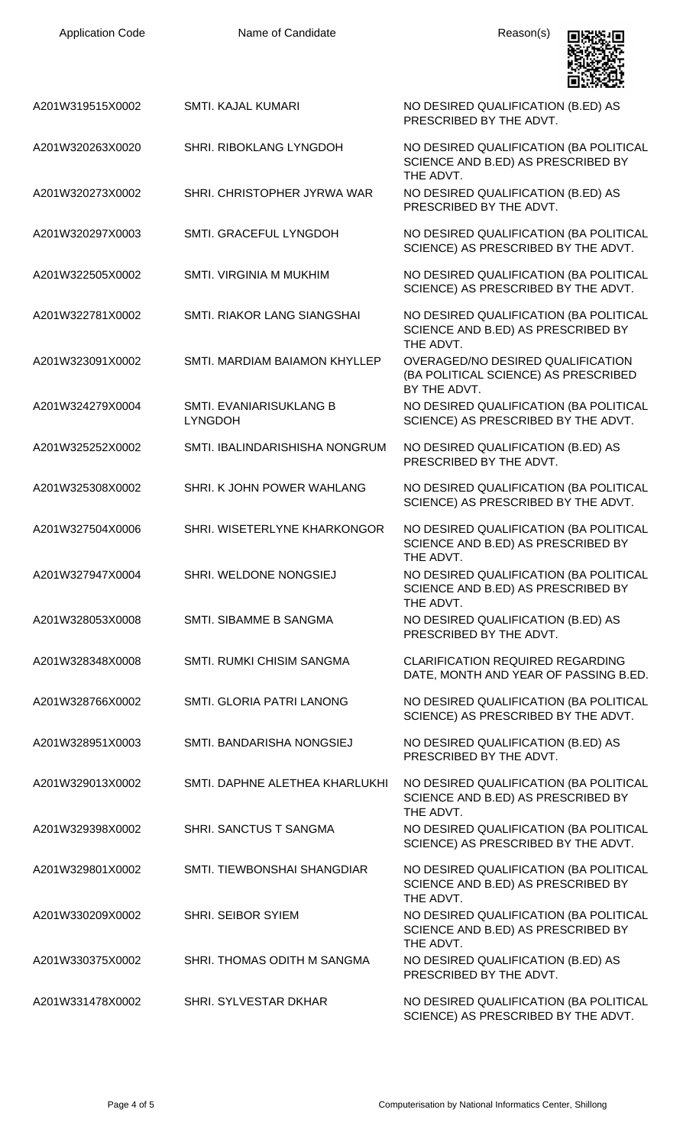

| A201W319515X0002 | SMTI. KAJAL KUMARI                        | NO DESIRED QUALIFICATION (B.ED) AS<br>PRESCRIBED BY THE ADVT.                             |
|------------------|-------------------------------------------|-------------------------------------------------------------------------------------------|
| A201W320263X0020 | SHRI. RIBOKLANG LYNGDOH                   | NO DESIRED QUALIFICATION (BA POLITICAL<br>SCIENCE AND B.ED) AS PRESCRIBED BY<br>THE ADVT. |
| A201W320273X0002 | SHRI. CHRISTOPHER JYRWA WAR               | NO DESIRED QUALIFICATION (B.ED) AS<br>PRESCRIBED BY THE ADVT.                             |
| A201W320297X0003 | SMTI. GRACEFUL LYNGDOH                    | NO DESIRED QUALIFICATION (BA POLITICAL<br>SCIENCE) AS PRESCRIBED BY THE ADVT.             |
| A201W322505X0002 | <b>SMTI. VIRGINIA M MUKHIM</b>            | NO DESIRED QUALIFICATION (BA POLITICAL<br>SCIENCE) AS PRESCRIBED BY THE ADVT.             |
| A201W322781X0002 | SMTI. RIAKOR LANG SIANGSHAI               | NO DESIRED QUALIFICATION (BA POLITICAL<br>SCIENCE AND B.ED) AS PRESCRIBED BY<br>THE ADVT. |
| A201W323091X0002 | SMTI. MARDIAM BAIAMON KHYLLEP             | OVERAGED/NO DESIRED QUALIFICATION<br>(BA POLITICAL SCIENCE) AS PRESCRIBED<br>BY THE ADVT. |
| A201W324279X0004 | SMTI. EVANIARISUKLANG B<br><b>LYNGDOH</b> | NO DESIRED QUALIFICATION (BA POLITICAL<br>SCIENCE) AS PRESCRIBED BY THE ADVT.             |
| A201W325252X0002 | SMTI. IBALINDARISHISHA NONGRUM            | NO DESIRED QUALIFICATION (B.ED) AS<br>PRESCRIBED BY THE ADVT.                             |
| A201W325308X0002 | SHRI. K JOHN POWER WAHLANG                | NO DESIRED QUALIFICATION (BA POLITICAL<br>SCIENCE) AS PRESCRIBED BY THE ADVT.             |
| A201W327504X0006 | SHRI. WISETERLYNE KHARKONGOR              | NO DESIRED QUALIFICATION (BA POLITICAL<br>SCIENCE AND B.ED) AS PRESCRIBED BY<br>THE ADVT. |
| A201W327947X0004 | SHRI. WELDONE NONGSIEJ                    | NO DESIRED QUALIFICATION (BA POLITICAL<br>SCIENCE AND B.ED) AS PRESCRIBED BY<br>THE ADVT. |
| A201W328053X0008 | SMTI. SIBAMME B SANGMA                    | NO DESIRED QUALIFICATION (B.ED) AS<br>PRESCRIBED BY THE ADVT.                             |
| A201W328348X0008 | SMTI. RUMKI CHISIM SANGMA                 | <b>CLARIFICATION REQUIRED REGARDING</b><br>DATE, MONTH AND YEAR OF PASSING B.ED.          |
| A201W328766X0002 | SMTI. GLORIA PATRI LANONG                 | NO DESIRED QUALIFICATION (BA POLITICAL<br>SCIENCE) AS PRESCRIBED BY THE ADVT.             |
| A201W328951X0003 | SMTI. BANDARISHA NONGSIEJ                 | NO DESIRED QUALIFICATION (B.ED) AS<br>PRESCRIBED BY THE ADVT.                             |
| A201W329013X0002 | SMTI. DAPHNE ALETHEA KHARLUKHI            | NO DESIRED QUALIFICATION (BA POLITICAL<br>SCIENCE AND B.ED) AS PRESCRIBED BY<br>THE ADVT. |
| A201W329398X0002 | SHRI. SANCTUS T SANGMA                    | NO DESIRED QUALIFICATION (BA POLITICAL<br>SCIENCE) AS PRESCRIBED BY THE ADVT.             |
| A201W329801X0002 | SMTI. TIEWBONSHAI SHANGDIAR               | NO DESIRED QUALIFICATION (BA POLITICAL<br>SCIENCE AND B.ED) AS PRESCRIBED BY<br>THE ADVT. |
| A201W330209X0002 | <b>SHRI. SEIBOR SYIEM</b>                 | NO DESIRED QUALIFICATION (BA POLITICAL<br>SCIENCE AND B.ED) AS PRESCRIBED BY<br>THE ADVT. |
| A201W330375X0002 | SHRI. THOMAS ODITH M SANGMA               | NO DESIRED QUALIFICATION (B.ED) AS<br>PRESCRIBED BY THE ADVT.                             |
| A201W331478X0002 | SHRI. SYLVESTAR DKHAR                     | NO DESIRED QUALIFICATION (BA POLITICAL<br>SCIENCE) AS PRESCRIBED BY THE ADVT.             |